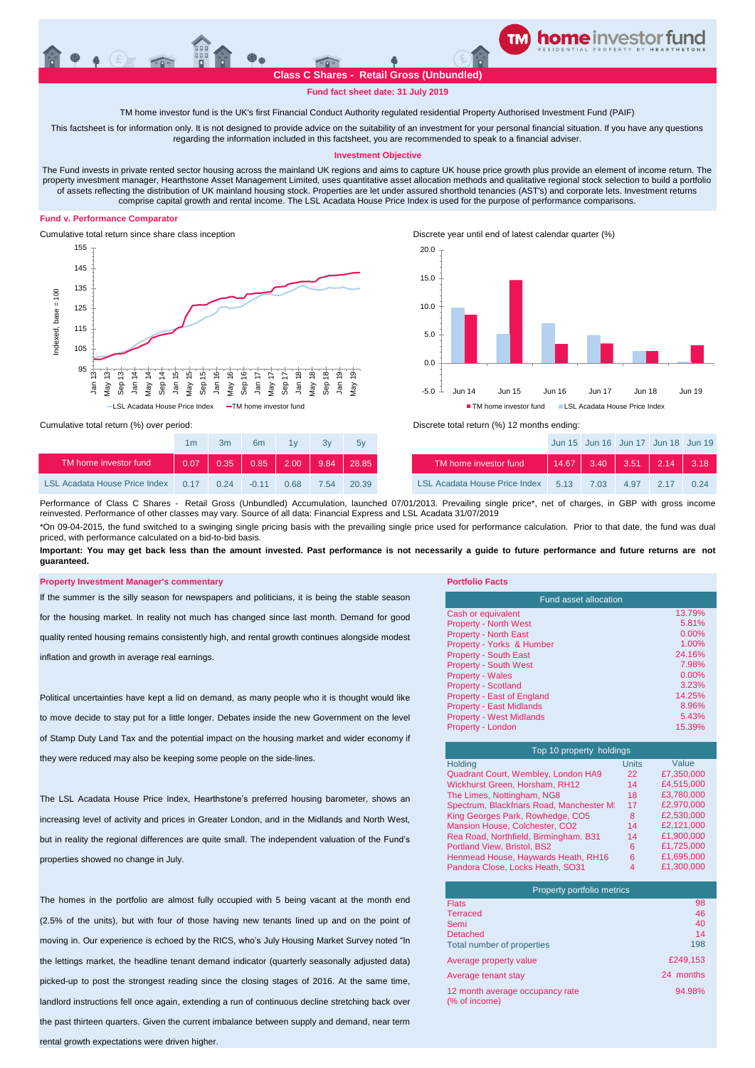# **Fund fact sheet date: 31 July 2019**

TM home investor fund is the UK's first Financial Conduct Authority regulated residential Property Authorised Investment Fund (PAIF)

This factsheet is for information only. It is not designed to provide advice on the suitability of an investment for your personal financial situation. If you have any questions regarding the information included in this factsheet, you are recommended to speak to a financial adviser.

### **Investment Objective**

The Fund invests in private rented sector housing across the mainland UK regions and aims to capture UK house price growth plus provide an element of income return. The property investment manager, Hearthstone Asset Management Limited, uses quantitative asset allocation methods and qualitative regional stock selection to build a portfolio of assets reflecting the distribution of UK mainland housing stock. Properties are let under assured shorthold tenancies (AST's) and corporate lets. Investment returns comprise capital growth and rental income. The LSL Acadata House Price Index is used for the purpose of performance comparisons.

## **Fund v. Performance Comparator**



Cumulative total return since share class inception Discrete year until end of latest calendar quarter (%)



Cumulative total return (%) over period:

|                                    | 1m   | Зm   | 6 <sub>m</sub>    | 1 <sub>V</sub> | 3v               | 5v    |                                      |
|------------------------------------|------|------|-------------------|----------------|------------------|-------|--------------------------------------|
| TM home investor fund              | 0.07 |      | $0.35$ $0.85$ $1$ | 2.00           | $\parallel$ 9.84 | 28.85 | TM home investor fund                |
| LSL Acadata House Price Index 0.17 |      | 0.24 | $-0.11$           | 0.68           | 7.54             | 20.39 | <b>LSL Acadata House Price Index</b> |

Discrete total return (%) 12 months ending:

| 1 <sub>m</sub>    | 3m   | 6 <sub>m</sub> | 1v   |      | 5v                                  |                                                           |  | Jun 15 Jun 16 Jun 17 Jun 18 Jun 19 |           |      |
|-------------------|------|----------------|------|------|-------------------------------------|-----------------------------------------------------------|--|------------------------------------|-----------|------|
| 0.07 <sub>1</sub> |      |                |      |      | $0.35$ $0.85$ $2.00$ $9.84$ $28.85$ | TM home investor fund   14.67   3.40   3.51   2.14   3.18 |  |                                    |           |      |
| 0.17              | 0.24 | $-0.11$        | 0.68 | 7.54 | 20.39                               | <b>LSL Acadata House Price Index 5.13 7.03</b>            |  |                                    | 4.97 2.17 | 0.24 |

Performance of Class C Shares - Retail Gross (Unbundled) Accumulation, launched 07/01/2013. Prevailing single price\*, net of charges, in GBP with gross income reinvested. Performance of other classes may vary. Source of all data: Financial Express and LSL Acadata 31/07/2019 \*On 09-04-2015, the fund switched to a swinging single pricing basis with the prevailing single price used for performance calculation. Prior to that date, the fund was dual

priced, with performance calculated on a bid-to-bid basis. Important: You may get back less than the amount invested. Past performance is not necessarily a guide to future performance and future returns are not **guaranteed.** 

### **Property Investment Manager's commentary Portfolio Facts**

If the summer is the silly season for newspapers and politicians, it is being the stable season for the housing market. In reality not much has changed since last month. Demand for good quality rented housing remains consistently high, and rental growth continues alongside modest inflation and growth in average real earnings.

Political uncertainties have kept a lid on demand, as many people who it is thought would like to move decide to stay put for a little longer. Debates inside the new Government on the level of Stamp Duty Land Tax and the potential impact on the housing market and wider economy if they were reduced may also be keeping some people on the side-lines.

The LSL Acadata House Price Index, Hearthstone's preferred housing barometer, shows an increasing level of activity and prices in Greater London, and in the Midlands and North West, but in reality the regional differences are quite small. The independent valuation of the Fund's properties showed no change in July.

The homes in the portfolio are almost fully occupied with 5 being vacant at the month end (2.5% of the units), but with four of those having new tenants lined up and on the point of moving in. Our experience is echoed by the RICS, who's July Housing Market Survey noted "In the lettings market, the headline tenant demand indicator (quarterly seasonally adjusted data) picked-up to post the strongest reading since the closing stages of 2016. At the same time, landlord instructions fell once again, extending a run of continuous decline stretching back over the past thirteen quarters. Given the current imbalance between supply and demand, near term rental growth expectations were driven higher.

| Fund asset allocation             |          |  |  |  |
|-----------------------------------|----------|--|--|--|
| Cash or equivalent                | 13.79%   |  |  |  |
| <b>Property - North West</b>      | 5.81%    |  |  |  |
| <b>Property - North East</b>      | $0.00\%$ |  |  |  |
| Property - Yorks & Humber         | 1.00%    |  |  |  |
| <b>Property - South East</b>      | 24.16%   |  |  |  |
| <b>Property - South West</b>      | 7.98%    |  |  |  |
| <b>Property - Wales</b>           | $0.00\%$ |  |  |  |
| <b>Property - Scotland</b>        | 3.23%    |  |  |  |
| <b>Property - East of England</b> | 14.25%   |  |  |  |
| <b>Property - East Midlands</b>   | 8.96%    |  |  |  |
| <b>Property - West Midlands</b>   | 5.43%    |  |  |  |
| Property - London                 | 15.39%   |  |  |  |

| Top 10 property holdings                  |              |            |  |  |  |  |
|-------------------------------------------|--------------|------------|--|--|--|--|
| <b>Holding</b>                            | <b>Units</b> | Value      |  |  |  |  |
| Quadrant Court, Wembley, London HA9       | 22           | £7,350,000 |  |  |  |  |
| Wickhurst Green, Horsham, RH12            | 14           | £4.515.000 |  |  |  |  |
| The Limes, Nottingham, NG8                | 18           | £3,780,000 |  |  |  |  |
| Spectrum, Blackfriars Road, Manchester M: | 17           | £2,970,000 |  |  |  |  |
| King Georges Park, Rowhedge, CO5          | 8            | £2.530.000 |  |  |  |  |
| Mansion House, Colchester, CO2            | 14           | £2.121.000 |  |  |  |  |
| Rea Road, Northfield, Birmingham. B31     | 14           | £1,900,000 |  |  |  |  |
| Portland View, Bristol, BS2               | 6            | £1,725,000 |  |  |  |  |
| Henmead House, Haywards Heath, RH16       | 6            | £1.695.000 |  |  |  |  |
| Pandora Close, Locks Heath, SO31          | 4            | £1,300,000 |  |  |  |  |

| <b>Property portfolio metrics</b>                |           |  |  |  |
|--------------------------------------------------|-----------|--|--|--|
| <b>Flats</b>                                     | 98        |  |  |  |
| <b>Terraced</b>                                  | 46        |  |  |  |
| Semi                                             | 40        |  |  |  |
| Detached                                         | 14        |  |  |  |
| Total number of properties                       | 198       |  |  |  |
| Average property value                           | £249.153  |  |  |  |
| Average tenant stay                              | 24 months |  |  |  |
| 12 month average occupancy rate<br>(% of income) | 94.98%    |  |  |  |